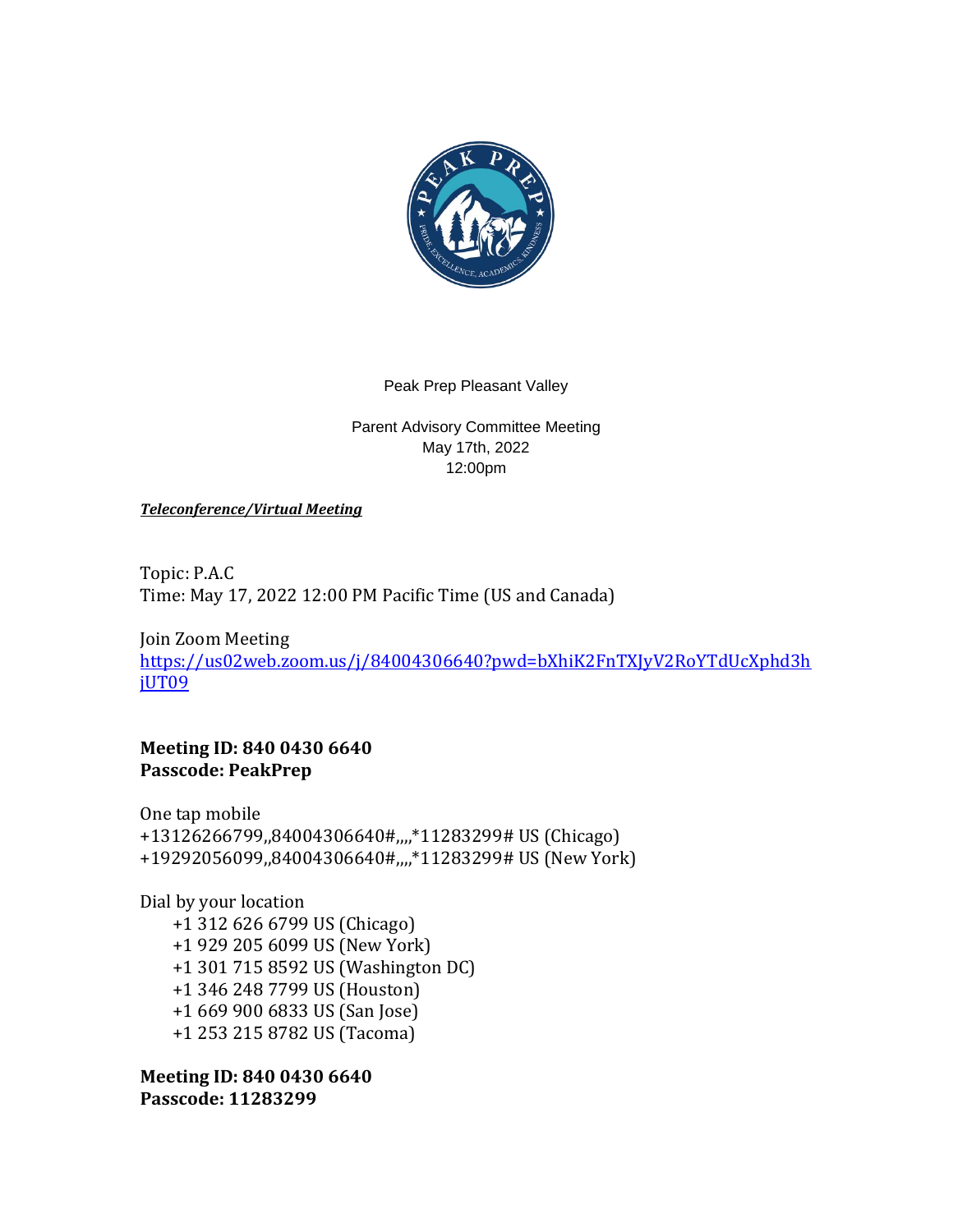

## Peak Prep Pleasant Valley

Parent Advisory Committee Meeting May 17th, 2022 12:00pm

*Teleconference/Virtual Meeting*

Topic: P.A.C Time: May 17, 2022 12:00 PM Pacific Time (US and Canada)

Join Zoom Meeting [https://us02web.zoom.us/j/84004306640?pwd=bXhiK2FnTXJyV2RoYTdUcXphd3h](https://us02web.zoom.us/j/84004306640?pwd=bXhiK2FnTXJyV2RoYTdUcXphd3hjUT09) [jUT09](https://us02web.zoom.us/j/84004306640?pwd=bXhiK2FnTXJyV2RoYTdUcXphd3hjUT09)

**Meeting ID: 840 0430 6640 Passcode: PeakPrep**

One tap mobile +13126266799,,84004306640#,,,,\*11283299# US (Chicago) +19292056099,,84004306640#,,,,\*11283299# US (New York)

Dial by your location +1 312 626 6799 US (Chicago) +1 929 205 6099 US (New York) +1 301 715 8592 US (Washington DC) +1 346 248 7799 US (Houston) +1 669 900 6833 US (San Jose) +1 253 215 8782 US (Tacoma)

**Meeting ID: 840 0430 6640 Passcode: 11283299**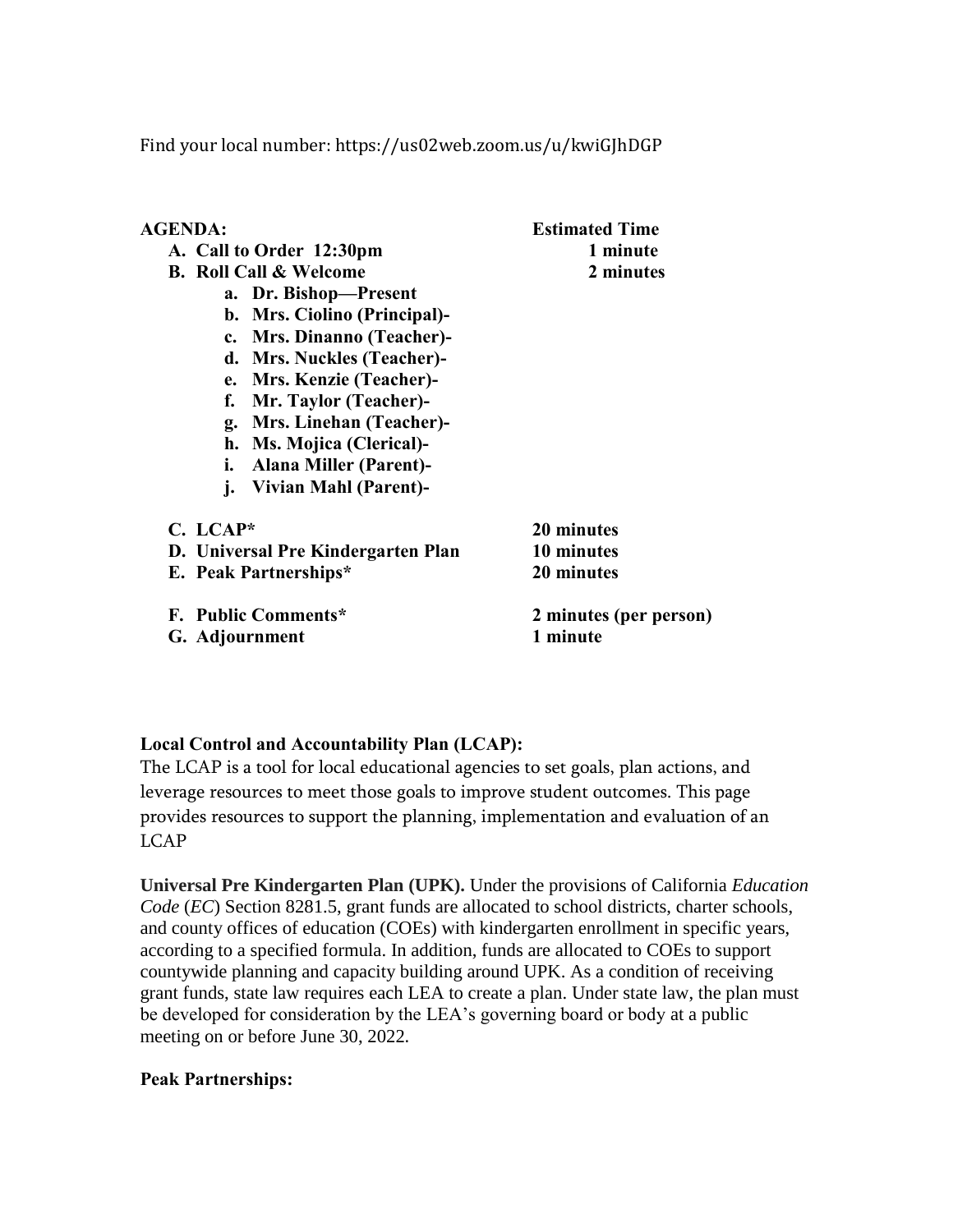Find your local number: https://us02web.zoom.us/u/kwiGJhDGP

| <b>AGENDA:</b>                      | <b>Estimated Time</b>  |
|-------------------------------------|------------------------|
| A. Call to Order 12:30pm            | 1 minute               |
| <b>B.</b> Roll Call & Welcome       | 2 minutes              |
| a. Dr. Bishop-Present               |                        |
| b. Mrs. Ciolino (Principal)-        |                        |
| c. Mrs. Dinanno (Teacher)-          |                        |
| d. Mrs. Nuckles (Teacher)-          |                        |
| e. Mrs. Kenzie (Teacher)-           |                        |
| Mr. Taylor (Teacher)-<br>f.         |                        |
| g. Mrs. Linehan (Teacher)-          |                        |
| h. Ms. Mojica (Clerical)-           |                        |
| <b>Alana Miller (Parent)-</b><br>i. |                        |
| Vivian Mahl (Parent)-<br>j.         |                        |
| $C.~LCAP*$                          | 20 minutes             |
| D. Universal Pre Kindergarten Plan  | 10 minutes             |
| E. Peak Partnerships*               | 20 minutes             |
| F. Public Comments*                 | 2 minutes (per person) |
| G. Adjournment                      | 1 minute               |
|                                     |                        |

# **Local Control and Accountability Plan (LCAP):**

The LCAP is a tool for local educational agencies to set goals, plan actions, and leverage resources to meet those goals to improve student outcomes. This page provides resources to support the planning, implementation and evaluation of an LCAP

**Universal Pre Kindergarten Plan (UPK).** Under the provisions of California *Education Code* (*EC*) Section 8281.5, grant funds are allocated to school districts, charter schools, and county offices of education (COEs) with kindergarten enrollment in specific years, according to a specified formula. In addition, funds are allocated to COEs to support countywide planning and capacity building around UPK. As a condition of receiving grant funds, state law requires each LEA to create a plan. Under state law, the plan must be developed for consideration by the LEA's governing board or body at a public meeting on or before June 30, 2022.

## **Peak Partnerships:**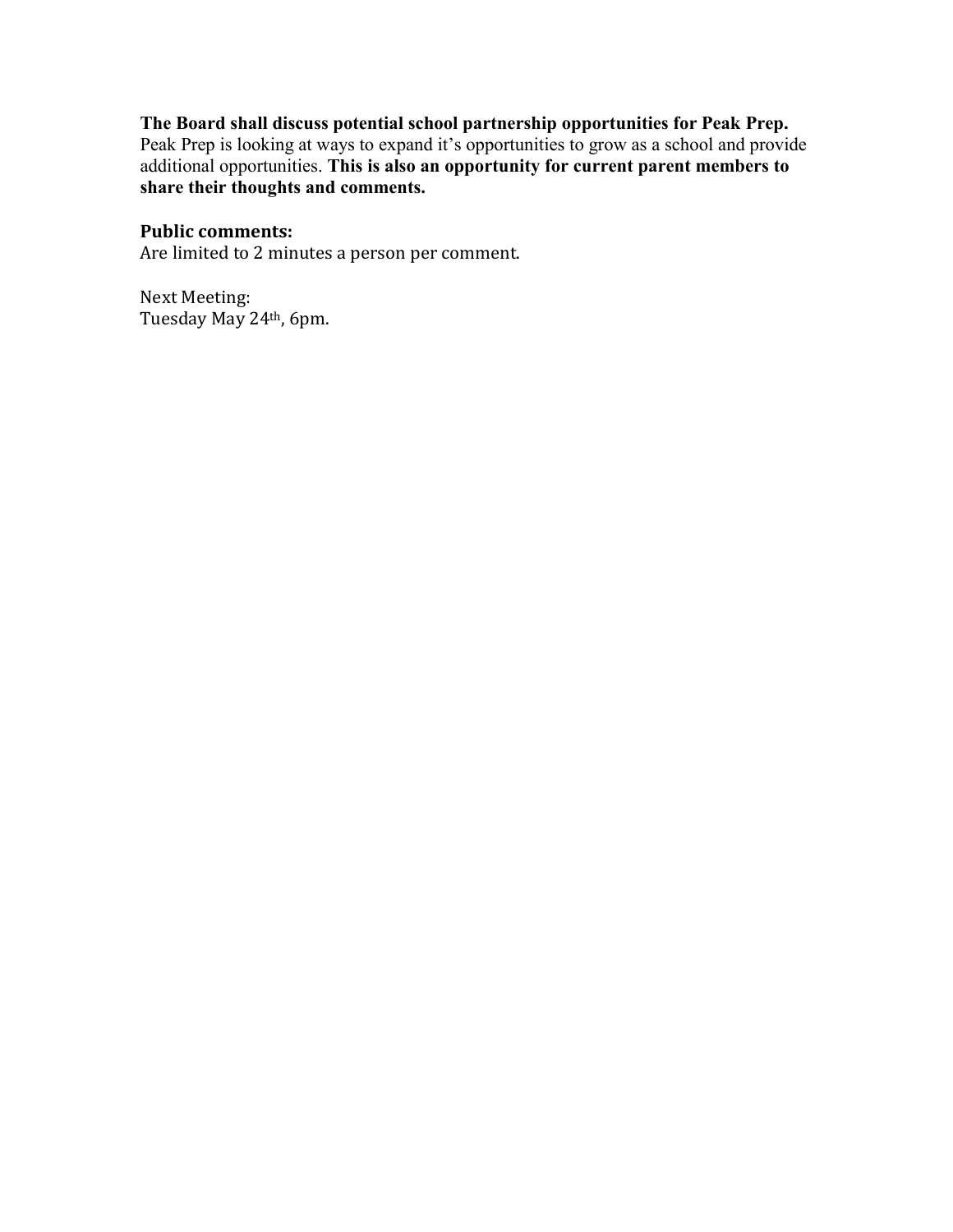# **The Board shall discuss potential school partnership opportunities for Peak Prep.**

Peak Prep is looking at ways to expand it's opportunities to grow as a school and provide additional opportunities. **This is also an opportunity for current parent members to share their thoughts and comments.** 

# **Public comments:**

Are limited to 2 minutes a person per comment.

Next Meeting: Tuesday May 24th, 6pm.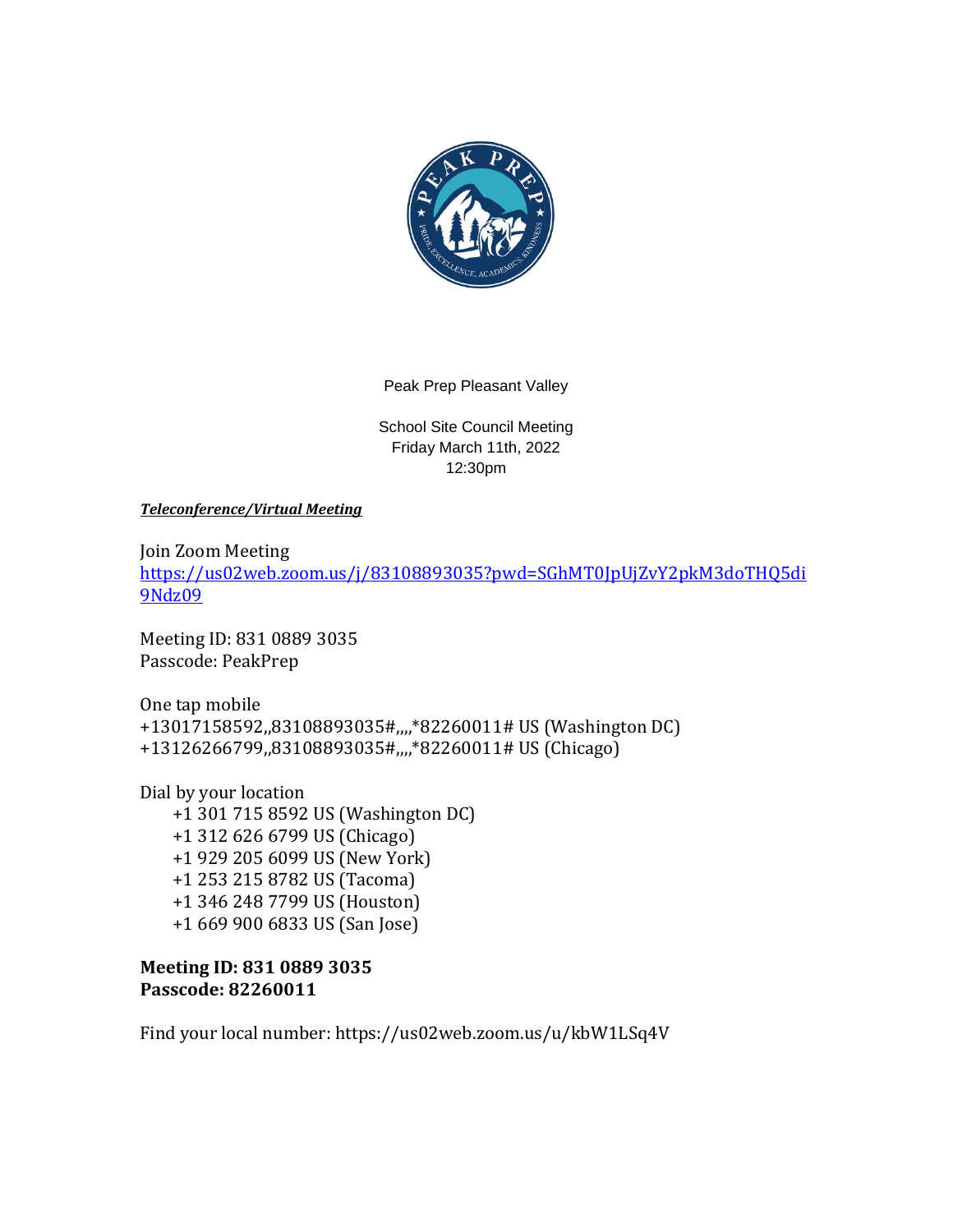

Peak Prep Pleasant Valley

School Site Council Meeting Friday March 11th, 2022 12:30pm

*Teleconference/Virtual Meeting*

Join Zoom Meeting [https://us02web.zoom.us/j/83108893035?pwd=SGhMT0JpUjZvY2pkM3doTHQ5di](https://us02web.zoom.us/j/83108893035?pwd=SGhMT0JpUjZvY2pkM3doTHQ5di9Ndz09) [9Ndz09](https://us02web.zoom.us/j/83108893035?pwd=SGhMT0JpUjZvY2pkM3doTHQ5di9Ndz09)

Meeting ID: 831 0889 3035 Passcode: PeakPrep

One tap mobile +13017158592,,83108893035#,,,,\*82260011# US (Washington DC) +13126266799,,83108893035#,,,,\*82260011# US (Chicago)

Dial by your location +1 301 715 8592 US (Washington DC) +1 312 626 6799 US (Chicago) +1 929 205 6099 US (New York) +1 253 215 8782 US (Tacoma) +1 346 248 7799 US (Houston) +1 669 900 6833 US (San Jose)

**Meeting ID: 831 0889 3035 Passcode: 82260011**

Find your local number: https://us02web.zoom.us/u/kbW1LSq4V